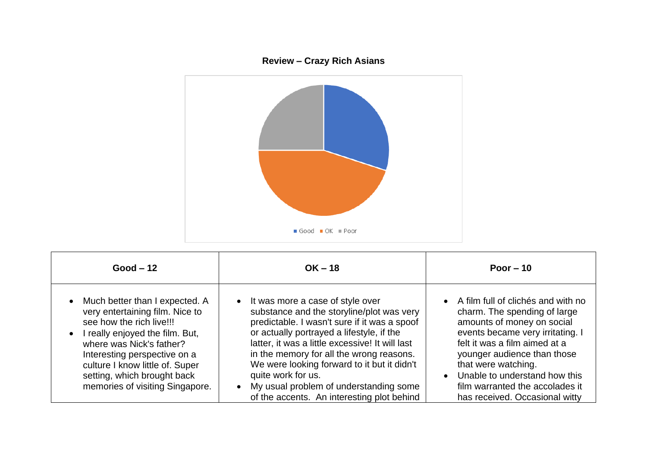## **Review – Crazy Rich Asians**



| $Good - 12$                                                                                                                                                                                                                                                                                                                 | $OK - 18$                                                                                                                                                                                                                                                                                                                                                                                                                                             | Poor $-10$                                                                                                                                                                                                                                                                                                                          |
|-----------------------------------------------------------------------------------------------------------------------------------------------------------------------------------------------------------------------------------------------------------------------------------------------------------------------------|-------------------------------------------------------------------------------------------------------------------------------------------------------------------------------------------------------------------------------------------------------------------------------------------------------------------------------------------------------------------------------------------------------------------------------------------------------|-------------------------------------------------------------------------------------------------------------------------------------------------------------------------------------------------------------------------------------------------------------------------------------------------------------------------------------|
| Much better than I expected. A<br>$\bullet$<br>very entertaining film. Nice to<br>see how the rich live!!!<br>I really enjoyed the film. But,<br>$\bullet$<br>where was Nick's father?<br>Interesting perspective on a<br>culture I know little of. Super<br>setting, which brought back<br>memories of visiting Singapore. | • It was more a case of style over<br>substance and the storyline/plot was very<br>predictable. I wasn't sure if it was a spoof<br>or actually portrayed a lifestyle, if the<br>latter, it was a little excessive! It will last<br>in the memory for all the wrong reasons.<br>We were looking forward to it but it didn't<br>quite work for us.<br>My usual problem of understanding some<br>$\bullet$<br>of the accents. An interesting plot behind | • A film full of clichés and with no<br>charm. The spending of large<br>amounts of money on social<br>events became very irritating. I<br>felt it was a film aimed at a<br>younger audience than those<br>that were watching.<br>Unable to understand how this<br>film warranted the accolades it<br>has received. Occasional witty |